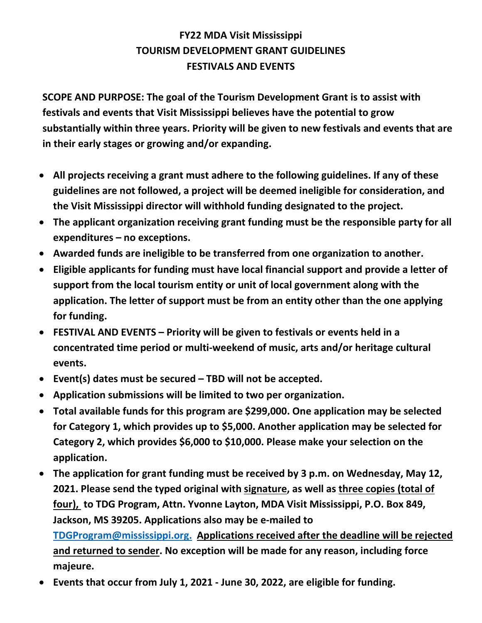# **FY22 MDA Visit Mississippi TOURISM DEVELOPMENT GRANT GUIDELINES FESTIVALS AND EVENTS**

**SCOPE AND PURPOSE: The goal of the Tourism Development Grant is to assist with festivals and events that Visit Mississippi believes have the potential to grow substantially within three years. Priority will be given to new festivals and events that are in their early stages or growing and/or expanding.**

- **All projects receiving a grant must adhere to the following guidelines. If any of these guidelines are not followed, a project will be deemed ineligible for consideration, and the Visit Mississippi director will withhold funding designated to the project.**
- **The applicant organization receiving grant funding must be the responsible party for all expenditures – no exceptions.**
- **Awarded funds are ineligible to be transferred from one organization to another.**
- **Eligible applicants for funding must have local financial support and provide a letter of support from the local tourism entity or unit of local government along with the application. The letter of support must be from an entity other than the one applying for funding.**
- **FESTIVAL AND EVENTS – Priority will be given to festivals or events held in a concentrated time period or multi-weekend of music, arts and/or heritage cultural events.**
- **Event(s) dates must be secured – TBD will not be accepted.**
- **Application submissions will be limited to two per organization.**
- **Total available funds for this program are \$299,000. One application may be selected for Category 1, which provides up to \$5,000. Another application may be selected for Category 2, which provides \$6,000 to \$10,000. Please make your selection on the application.**
- **The application for grant funding must be received by 3 p.m. on Wednesday, May 12, 2021. Please send the typed original with signature, as well as three copies (total of four), to TDG Program, Attn. Yvonne Layton, MDA Visit Mississippi, P.O. Box 849, Jackson, MS 39205. Applications also may be e-mailed to [TDGProgram@mississippi.org.](mailto:TDGProgram@mississippi.org) Applications received after the deadline will be rejected and returned to sender. No exception will be made for any reason, including force majeure.**
- **Events that occur from July 1, 2021 - June 30, 2022, are eligible for funding.**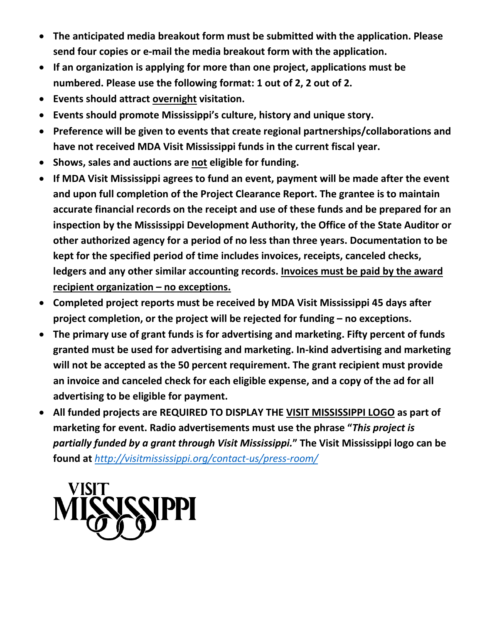- **The anticipated media breakout form must be submitted with the application. Please send four copies or e-mail the media breakout form with the application.**
- **If an organization is applying for more than one project, applications must be numbered. Please use the following format: 1 out of 2, 2 out of 2.**
- **Events should attract overnight visitation.**
- **Events should promote Mississippi's culture, history and unique story.**
- **Preference will be given to events that create regional partnerships/collaborations and have not received MDA Visit Mississippi funds in the current fiscal year.**
- **Shows, sales and auctions are not eligible for funding.**
- **If MDA Visit Mississippi agrees to fund an event, payment will be made after the event and upon full completion of the Project Clearance Report. The grantee is to maintain accurate financial records on the receipt and use of these funds and be prepared for an inspection by the Mississippi Development Authority, the Office of the State Auditor or other authorized agency for a period of no less than three years. Documentation to be kept for the specified period of time includes invoices, receipts, canceled checks, ledgers and any other similar accounting records. Invoices must be paid by the award recipient organization – no exceptions.**
- **Completed project reports must be received by MDA Visit Mississippi 45 days after project completion, or the project will be rejected for funding – no exceptions.**
- **The primary use of grant funds is for advertising and marketing. Fifty percent of funds granted must be used for advertising and marketing. In-kind advertising and marketing will not be accepted as the 50 percent requirement. The grant recipient must provide an invoice and canceled check for each eligible expense, and a copy of the ad for all advertising to be eligible for payment.**
- **All funded projects are REQUIRED TO DISPLAY THE VISIT MISSISSIPPI LOGO as part of marketing for event. Radio advertisements must use the phrase "***This project is partially funded by a grant through Visit Mississippi.***" The Visit Mississippi logo can be found at** *<http://visitmississippi.org/contact-us/press-room/>*

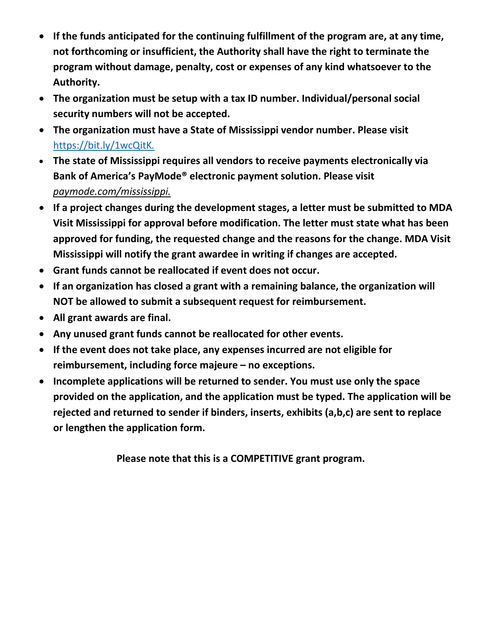- **If the funds anticipated for the continuing fulfillment of the program are, at any time, not forthcoming or insufficient, the Authority shall have the right to terminate the program without damage, penalty, cost or expenses of any kind whatsoever to the Authority.**
- **The organization must be setup with a tax ID number. Individual/personal social security numbers will not be accepted.**
- **The organization must have a State of Mississippi vendor number. Please visit**  https://bit.ly/1wcQitK*.*
- **The state of Mississippi requires all vendors to receive payments electronically via Bank of America's PayMode® electronic payment solution. Please visit**  *paymode.com/mississippi.*
- **If a project changes during the development stages, a letter must be submitted to MDA Visit Mississippi for approval before modification. The letter must state what has been approved for funding, the requested change and the reasons for the change. MDA Visit Mississippi will notify the grant awardee in writing if changes are accepted.**
- **Grant funds cannot be reallocated if event does not occur.**
- **If an organization has closed a grant with a remaining balance, the organization will NOT be allowed to submit a subsequent request for reimbursement.**
- **All grant awards are final.**
- **Any unused grant funds cannot be reallocated for other events.**
- **If the event does not take place, any expenses incurred are not eligible for reimbursement, including force majeure – no exceptions.**
- **Incomplete applications will be returned to sender. You must use only the space provided on the application, and the application must be typed. The application will be rejected and returned to sender if binders, inserts, exhibits (a,b,c) are sent to replace or lengthen the application form.**

**Please note that this is a COMPETITIVE grant program.**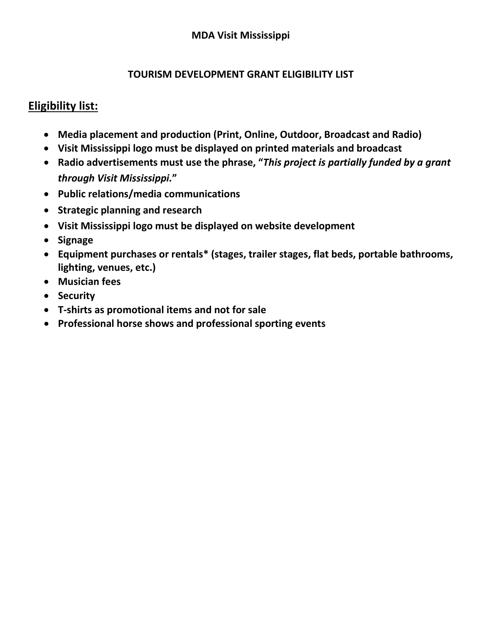#### **TOURISM DEVELOPMENT GRANT ELIGIBILITY LIST**

### **Eligibility list:**

- **Media placement and production (Print, Online, Outdoor, Broadcast and Radio)**
- **Visit Mississippi logo must be displayed on printed materials and broadcast**
- **Radio advertisements must use the phrase, "***This project is partially funded by a grant through Visit Mississippi.***"**
- **Public relations/media communications**
- **Strategic planning and research**
- **Visit Mississippi logo must be displayed on website development**
- **Signage**
- **Equipment purchases or rentals\* (stages, trailer stages, flat beds, portable bathrooms, lighting, venues, etc.)**
- **Musician fees**
- **Security**
- **T-shirts as promotional items and not for sale**
- **Professional horse shows and professional sporting events**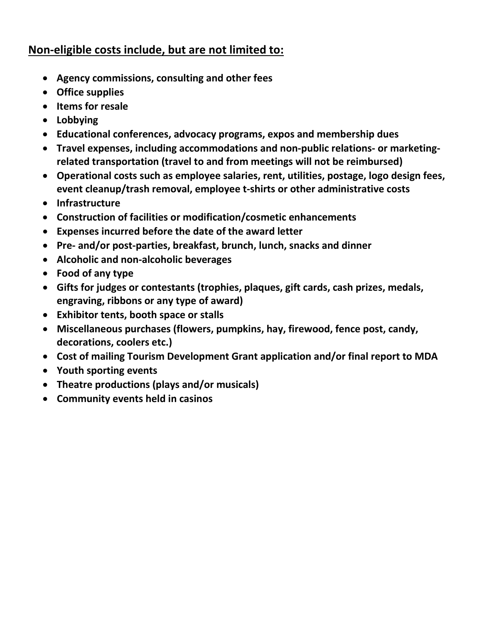## **Non-eligible costs include, but are not limited to:**

- **Agency commissions, consulting and other fees**
- **Office supplies**
- **Items for resale**
- **Lobbying**
- **Educational conferences, advocacy programs, expos and membership dues**
- **Travel expenses, including accommodations and non-public relations- or marketingrelated transportation (travel to and from meetings will not be reimbursed)**
- **Operational costs such as employee salaries, rent, utilities, postage, logo design fees, event cleanup/trash removal, employee t-shirts or other administrative costs**
- **Infrastructure**
- **Construction of facilities or modification/cosmetic enhancements**
- **Expenses incurred before the date of the award letter**
- **Pre- and/or post-parties, breakfast, brunch, lunch, snacks and dinner**
- **Alcoholic and non-alcoholic beverages**
- **Food of any type**
- **Gifts for judges or contestants (trophies, plaques, gift cards, cash prizes, medals, engraving, ribbons or any type of award)**
- **Exhibitor tents, booth space or stalls**
- **Miscellaneous purchases (flowers, pumpkins, hay, firewood, fence post, candy, decorations, coolers etc.)**
- **Cost of mailing Tourism Development Grant application and/or final report to MDA**
- **Youth sporting events**
- **Theatre productions (plays and/or musicals)**
- **Community events held in casinos**